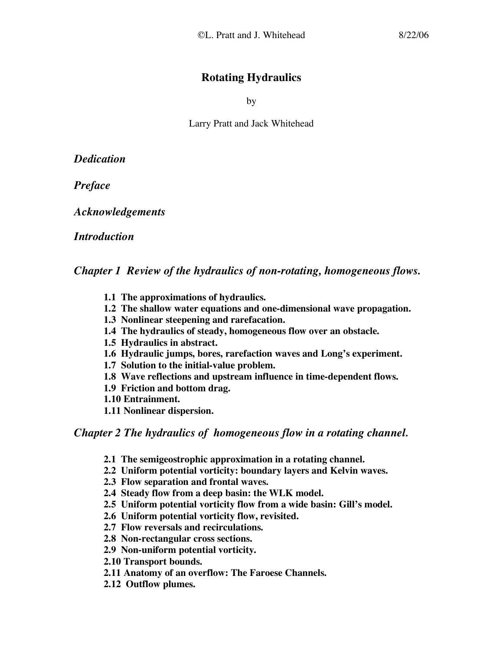# **Rotating Hydraulics**

by

Larry Pratt and Jack Whitehead

*Dedication*

*Preface*

*Acknowledgements*

*Introduction*

*Chapter 1 Review of the hydraulics of non-rotating, homogeneous flows.*

- **1.1 The approximations of hydraulics.**
- **1.2 The shallow water equations and one-dimensional wave propagation.**
- **1.3 Nonlinear steepening and rarefacation.**
- **1.4 The hydraulics of steady, homogeneous flow over an obstacle.**
- **1.5 Hydraulics in abstract.**
- **1.6 Hydraulic jumps, bores, rarefaction waves and Long's experiment.**
- **1.7 Solution to the initial-value problem.**
- **1.8 Wave reflections and upstream influence in time-dependent flows.**
- **1.9 Friction and bottom drag.**
- **1.10 Entrainment.**
- **1.11 Nonlinear dispersion.**

*Chapter 2 The hydraulics of homogeneous flow in a rotating channel***.**

- **2.1 The semigeostrophic approximation in a rotating channel.**
- **2.2 Uniform potential vorticity: boundary layers and Kelvin waves.**
- **2.3 Flow separation and frontal waves.**
- **2.4 Steady flow from a deep basin: the WLK model.**
- **2.5 Uniform potential vorticity flow from a wide basin: Gill's model.**
- **2.6 Uniform potential vorticity flow, revisited.**
- **2.7 Flow reversals and recirculations.**
- **2.8 Non-rectangular cross sections.**
- **2.9 Non-uniform potential vorticity.**
- **2.10 Transport bounds.**
- **2.11 Anatomy of an overflow: The Faroese Channels.**
- **2.12 Outflow plumes.**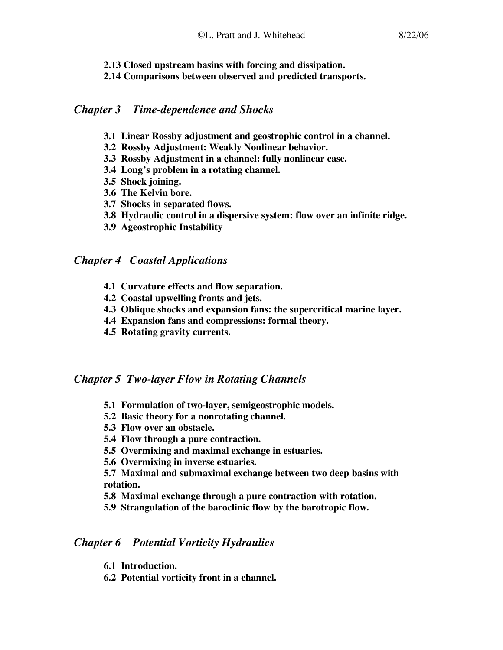#### **2.13 Closed upstream basins with forcing and dissipation.**

**2.14 Comparisons between observed and predicted transports.**

### *Chapter 3 Time-dependence and Shocks*

- **3.1 Linear Rossby adjustment and geostrophic control in a channel.**
- **3.2 Rossby Adjustment: Weakly Nonlinear behavior.**
- **3.3 Rossby Adjustment in a channel: fully nonlinear case.**
- **3.4 Long's problem in a rotating channel.**
- **3.5 Shock joining.**
- **3.6 The Kelvin bore.**
- **3.7 Shocks in separated flows.**
- **3.8 Hydraulic control in a dispersive system: flow over an infinite ridge.**
- **3.9 Ageostrophic Instability**

## *Chapter 4 Coastal Applications*

- **4.1 Curvature effects and flow separation.**
- **4.2 Coastal upwelling fronts and jets.**
- **4.3 Oblique shocks and expansion fans: the supercritical marine layer.**
- **4.4 Expansion fans and compressions: formal theory.**
- **4.5 Rotating gravity currents.**

### *Chapter 5 Two-layer Flow in Rotating Channels*

- **5.1 Formulation of two-layer, semigeostrophic models.**
- **5.2 Basic theory for a nonrotating channel.**
- **5.3 Flow over an obstacle.**
- **5.4 Flow through a pure contraction.**
- **5.5 Overmixing and maximal exchange in estuaries.**
- **5.6 Overmixing in inverse estuaries.**

#### **5.7 Maximal and submaximal exchange between two deep basins with rotation.**

- **5.8 Maximal exchange through a pure contraction with rotation.**
- **5.9 Strangulation of the baroclinic flow by the barotropic flow.**

### *Chapter 6 Potential Vorticity Hydraulics*

- **6.1 Introduction.**
- **6.2 Potential vorticity front in a channel.**